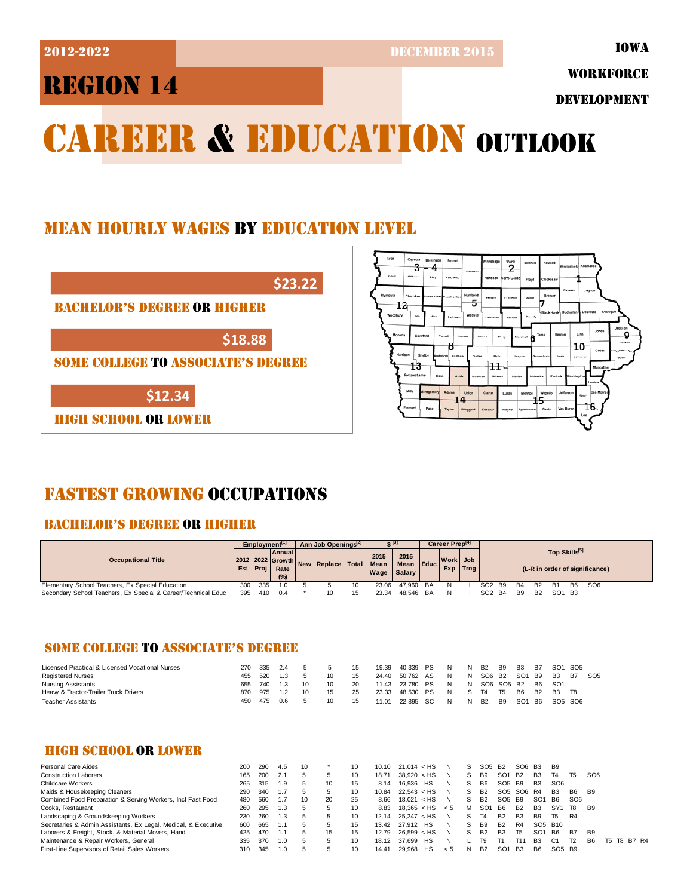2012-2022 DECEMBER 2015

IOWA

## REGION 14

WORKFORCE

DEVELOPMENT

# CAREER & EDUCATION OUTLOOK

## MEAN HOURLY WAGES BY EDUCATION LEVEL





## FASTEST GROWING OCCUPATIONS

#### BACHELOR'S DEGREE OR HIGHER

|                                                               | Employment <sup>[1]</sup> |      |                              | Ann Job Openings <sup>[2]</sup> |                                        |    | C [3]                         |                   |           | Career Prep <sup>[4]</sup> |          |                                |                |           |                                |           |                                |  |  |
|---------------------------------------------------------------|---------------------------|------|------------------------------|---------------------------------|----------------------------------------|----|-------------------------------|-------------------|-----------|----------------------------|----------|--------------------------------|----------------|-----------|--------------------------------|-----------|--------------------------------|--|--|
| <b>Occupational Title</b>                                     | Est                       | Proj | <b>Annual</b><br>Rate<br>(%) |                                 | 2012 2022 Growth New Replace Total I M |    | 2015<br>Mean<br>Wage   Salary | 2015<br>Mean Educ |           | Work Job                   | Exp Trng |                                |                |           | Top Skills[5]                  |           | (L-R in order of significance) |  |  |
| Elementary School Teachers, Ex Special Education              | 300                       | 335  | 1.0                          |                                 |                                        |    | 23.06                         | 47.960            | <b>BA</b> |                            |          | SO2 B9                         | <b>B4</b>      | <b>B2</b> | <b>B1</b>                      | <b>B6</b> | SO <sub>6</sub>                |  |  |
| Secondary School Teachers, Ex Special & Career/Technical Educ | 395                       | 410  | 0.4                          |                                 | 10                                     | 15 | 23.34                         | 48.546            | BA        |                            |          | SO <sub>2</sub> B <sub>4</sub> | B <sub>9</sub> | <b>B2</b> | SO <sub>1</sub> B <sub>3</sub> |           |                                |  |  |

#### SOME COLLEGE TO ASSOCIATE'S DEGREE

| Licensed Practical & Licensed Vocational Nurses | 270 | 335 | 2.4 |    |                 | 15 | 19.39 | 40.339    | PS   | N | N  | B2             | B9             | <b>B3</b>       | <b>B7</b> | SO1 SO5   |           |                 |
|-------------------------------------------------|-----|-----|-----|----|-----------------|----|-------|-----------|------|---|----|----------------|----------------|-----------------|-----------|-----------|-----------|-----------------|
| <b>Registered Nurses</b>                        | 455 | 520 | 1.3 |    | 10 <sup>1</sup> | 15 | 24.40 | 50.762 AS |      | N | N  | SO6 B2         |                | SO1 B9          |           | <b>B3</b> | <b>B7</b> | SO <sub>5</sub> |
| Nursing Assistants                              | 655 | 740 | 1.3 | 10 | 10 <sup>1</sup> | 20 | 11.43 | 23.780 PS |      | N | N  |                | SO6 SO5 B2     |                 | B6        | SO1       |           |                 |
| Heavy & Tractor-Trailer Truck Drivers           | 870 | 975 | 1.2 | 10 | 15              | 25 | 23.33 | 48.530 PS |      | N | S. | T <sub>4</sub> | T <sub>5</sub> | B6              | <b>B2</b> | <b>B3</b> | T8        |                 |
| Teacher Assistants                              | 450 | 475 | 0.6 |    | 10              | 15 | 11.01 | 22.895    | . SC | N | N  | <b>B2</b>      | B9             | SO <sub>1</sub> | <b>B6</b> | SO5 SO6   |           |                 |

#### HIGH SCHOOL OR LOWER

| 200 | 290 | 4.5 | 10 |    | 10 | 10.10 |  |                                                                                                                                                    | s             |                 |                 |              |                                                                                            | B9                                            |                                 |                                |            |  |             |
|-----|-----|-----|----|----|----|-------|--|----------------------------------------------------------------------------------------------------------------------------------------------------|---------------|-----------------|-----------------|--------------|--------------------------------------------------------------------------------------------|-----------------------------------------------|---------------------------------|--------------------------------|------------|--|-------------|
| 165 | 200 | 2.7 |    |    | 10 | 18.71 |  | N                                                                                                                                                  | S             | B <sub>9</sub>  | SO <sub>1</sub> |              | B <sub>3</sub>                                                                             | Τ4                                            | T <sub>5</sub>                  | SO <sub>6</sub>                |            |  |             |
| 265 | 315 | 1.9 |    | 10 | 15 | 8.14  |  | N                                                                                                                                                  |               | B6              |                 |              | B <sub>3</sub>                                                                             | SO <sub>6</sub>                               |                                 |                                |            |  |             |
| 290 | 340 | 1.7 | 5  |    | 10 | 10.84 |  | N                                                                                                                                                  | s             | <b>B2</b>       |                 |              |                                                                                            | <b>B3</b>                                     | B6                              |                                |            |  |             |
| 480 | 560 |     | 10 | 20 | 25 | 8.66  |  | N                                                                                                                                                  | S             | <b>B2</b>       |                 |              | SO <sub>1</sub>                                                                            | <b>B6</b>                                     | SO <sub>6</sub>                 |                                |            |  |             |
| 260 | 295 | 1.3 | 5  |    | 10 | 8.83  |  | - 5                                                                                                                                                | м             | SO <sub>1</sub> |                 | <b>B2</b>    | B <sub>3</sub>                                                                             | SY <sub>1</sub>                               | T8                              | B <sub>9</sub>                 |            |  |             |
| 230 | 260 | 1.3 |    |    | 10 | 12.14 |  | N                                                                                                                                                  |               | T4              | <b>B2</b>       | <b>B3</b>    | <b>B</b> 9                                                                                 | T5.                                           | R4                              |                                |            |  |             |
| 600 | 665 |     |    |    | 15 | 13.42 |  | N                                                                                                                                                  | S             | <b>B</b> 9      | <b>B2</b>       | R4           |                                                                                            |                                               |                                 |                                |            |  |             |
| 425 | 470 |     | 5  | 15 | 15 | 12.79 |  | N                                                                                                                                                  |               | <b>B2</b>       | B <sub>3</sub>  | T5           | SO <sub>1</sub>                                                                            | - B6                                          | <b>B7</b>                       | <b>B9</b>                      |            |  |             |
| 335 | 370 | 1.0 | 5  |    | 10 | 18.12 |  | N                                                                                                                                                  |               | Т9              |                 |              | <b>B3</b>                                                                                  | C <sub>1</sub>                                | T <sub>2</sub>                  | B6.                            |            |  |             |
| 310 | 345 | 1.0 | .h |    | 10 | 14.41 |  | < 5                                                                                                                                                |               | B <sub>2</sub>  | SO <sub>1</sub> |              | B <sub>6</sub>                                                                             |                                               |                                 |                                |            |  |             |
|     |     |     |    |    |    |       |  | $21.014 <$ HS<br>$38.920 <$ HS<br>16.936 HS<br>22.543 < HS<br>$18.021 <$ HS<br>$25.247 <$ HS<br>27.912 HS<br>26.599 < HS<br>37.699 HS<br>29.968 HS | $18.365 <$ HS |                 |                 | SO5 B2<br>B6 | <b>B2</b><br>SO <sub>5</sub> B <sub>9</sub><br>SO <sub>5</sub> B <sub>9</sub><br><b>B3</b> | SO <sub>6</sub><br><b>B3</b><br>SO5 SO6<br>R4 | SO <sub>5</sub> B <sub>10</sub> | SO <sub>5</sub> B <sub>9</sub> | <b>B</b> 9 |  | T5 T8 B7 R4 |